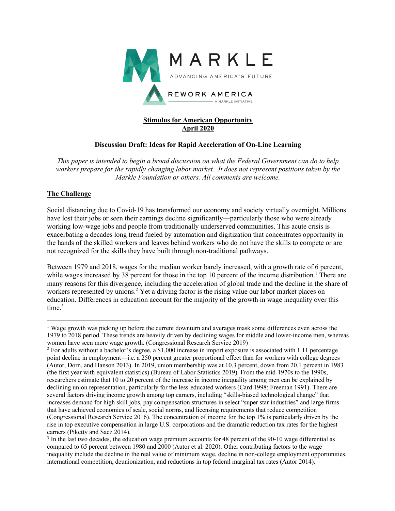

# **Stimulus for American Opportunity April 2020**

# **Discussion Draft: Ideas for Rapid Acceleration of On-Line Learning**

*This paper is intended to begin a broad discussion on what the Federal Government can do to help workers prepare for the rapidly changing labor market. It does not represent positions taken by the Markle Foundation or others. All comments are welcome.*

# **The Challenge**

Social distancing due to Covid-19 has transformed our economy and society virtually overnight. Millions have lost their jobs or seen their earnings decline significantly—particularly those who were already working low-wage jobs and people from traditionally underserved communities. This acute crisis is exacerbating a decades long trend fueled by automation and digitization that concentrates opportunity in the hands of the skilled workers and leaves behind workers who do not have the skills to compete or are not recognized for the skills they have built through non-traditional pathways.

Between 1979 and 2018, wages for the median worker barely increased, with a growth rate of 6 percent, while wages increased by 38 percent for those in the top 10 percent of the income distribution.<sup>1</sup> There are many reasons for this divergence, including the acceleration of global trade and the decline in the share of workers represented by unions. <sup>2</sup> Yet a driving factor is the rising value our labor market places on education. Differences in education account for the majority of the growth in wage inequality over this time. 3

<sup>1</sup> Wage growth was picking up before the current downturn and averages mask some differences even across the 1979 to 2018 period. These trends are heavily driven by declining wages for middle and lower-income men, whereas women have seen more wage growth. (Congressional Research Service 2019)<br><sup>2</sup> For adults without a bachelor's degree, a \$1,000 increase in import exposure is associated with 1.11 percentage

point decline in employment—i.e. a 250 percent greater proportional effect than for workers with college degrees (Autor, Dorn, and Hanson 2013). In 2019, union membership was at 10.3 percent, down from 20.1 percent in 1983 (the first year with equivalent statistics) (Bureau of Labor Statistics 2019). From the mid-1970s to the 1990s, researchers estimate that 10 to 20 percent of the increase in income inequality among men can be explained by declining union representation, particularly for the less-educated workers (Card 1998; Freeman 1991). There are several factors driving income growth among top earners, including "skills-biased technological change" that increases demand for high skill jobs, pay compensation structures in select "super star industries" and large firms that have achieved economies of scale, social norms, and licensing requirements that reduce competition (Congressional Research Service 2016). The concentration of income for the top 1% is particularly driven by the rise in top executive compensation in large U.S. corporations and the dramatic reduction tax rates for the highest earners (Piketty and Saez 2014).

<sup>&</sup>lt;sup>3</sup> In the last two decades, the education wage premium accounts for 48 percent of the 90-10 wage differential as compared to 65 percent between 1980 and 2000 (Autor et al. 2020). Other contributing factors to the wage inequality include the decline in the real value of minimum wage, decline in non-college employment opportunities, international competition, deunionization, and reductions in top federal marginal tax rates (Autor 2014).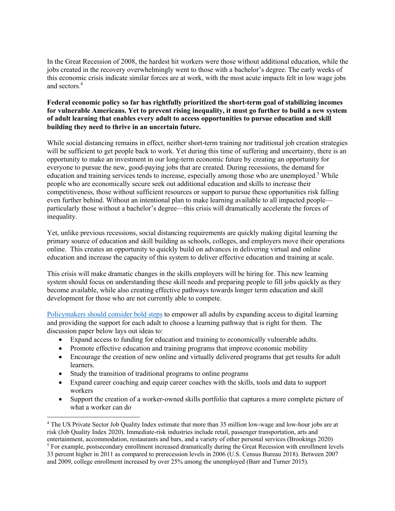In the Great Recession of 2008, the hardest hit workers were those without additional education, while the jobs created in the recovery overwhelmingly went to those with a bachelor's degree. The early weeks of this economic crisis indicate similar forces are at work, with the most acute impacts felt in low wage jobs and sectors.4

## **Federal economic policy so far has rightfully prioritized the short-term goal of stabilizing incomes for vulnerable Americans. Yet to prevent rising inequality, it must go further to build a new system of adult learning that enables every adult to access opportunities to pursue education and skill building they need to thrive in an uncertain future.**

While social distancing remains in effect, neither short-term training nor traditional job creation strategies will be sufficient to get people back to work. Yet during this time of suffering and uncertainty, there is an opportunity to make an investment in our long-term economic future by creating an opportunity for everyone to pursue the new, good-paying jobs that are created. During recessions, the demand for education and training services tends to increase, especially among those who are unemployed.<sup>5</sup> While people who are economically secure seek out additional education and skills to increase their competitiveness, those without sufficient resources or support to pursue these opportunities risk falling even further behind. Without an intentional plan to make learning available to all impacted people particularly those without a bachelor's degree—this crisis will dramatically accelerate the forces of inequality.

Yet, unlike previous recessions, social distancing requirements are quickly making digital learning the primary source of education and skill building as schools, colleges, and employers move their operations online. This creates an opportunity to quickly build on advances in delivering virtual and online education and increase the capacity of this system to deliver effective education and training at scale.

This crisis will make dramatic changes in the skills employers will be hiring for. This new learning system should focus on understanding these skill needs and preparing people to fill jobs quickly as they become available, while also creating effective pathways towards longer term education and skill development for those who are not currently able to compete.

Policymakers should consider bold steps to empower all adults by expanding access to digital learning and providing the support for each adult to choose a learning pathway that is right for them. The discussion paper below lays out ideas to:

- Expand access to funding for education and training to economically vulnerable adults.
- Promote effective education and training programs that improve economic mobility
- Encourage the creation of new online and virtually delivered programs that get results for adult learners.
- Study the transition of traditional programs to online programs
- Expand career coaching and equip career coaches with the skills, tools and data to support workers
- Support the creation of a worker-owned skills portfolio that captures a more complete picture of what a worker can do

<sup>4</sup> The US Private Sector Job Quality Index estimate that more than 35 million low-wage and low-hour jobs are at risk (Job Quality Index 2020). Immediate-risk industries include retail, passenger transportation, arts and entertainment, accommodation, restaurants and bars, and a variety of other personal services (Brookings 2020)

<sup>&</sup>lt;sup>5</sup> For example, postsecondary enrollment increased dramatically during the Great Recession with enrollment levels 33 percent higher in 2011 as compared to prerecession levels in 2006 (U.S. Census Bureau 2018). Between 2007 and 2009, college enrollment increased by over 25% among the unemployed (Barr and Turner 2015).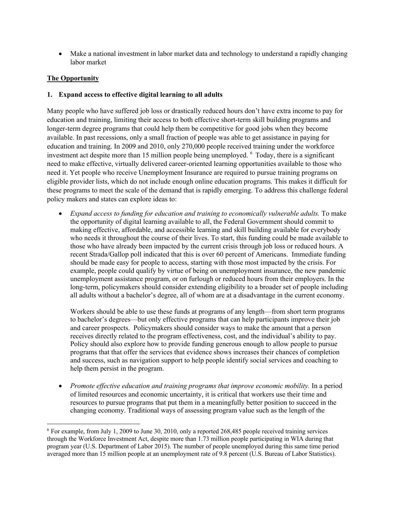• Make a national investment in labor market data and technology to understand a rapidly changing labor market

# **The Opportunity**

# **1. Expand access to effective digital learning to all adults**

Many people who have suffered job loss or drastically reduced hours don't have extra income to pay for education and training, limiting their access to both effective short-term skill building programs and longer-term degree programs that could help them be competitive for good jobs when they become available. In past recessions, only a small fraction of people was able to get assistance in paying for education and training. In 2009 and 2010, only 270,000 people received training under the workforce investment act despite more than 15 million people being unemployed. <sup>6</sup> Today, there is a significant need to make effective, virtually delivered career-oriented learning opportunities available to those who need it. Yet people who receive Unemployment Insurance are required to pursue training programs on eligible provider lists, which do not include enough online education programs. This makes it difficult for these programs to meet the scale of the demand that is rapidly emerging. To address this challenge federal policy makers and states can explore ideas to:

• *Expand access to funding for education and training to economically vulnerable adults.* To make the opportunity of digital learning available to all, the Federal Government should commit to making effective, affordable, and accessible learning and skill building available for everybody who needs it throughout the course of their lives. To start, this funding could be made available to those who have already been impacted by the current crisis through job loss or reduced hours. A recent Strada/Gallop poll indicated that this is over 60 percent of Americans. Immediate funding should be made easy for people to access, starting with those most impacted by the crisis. For example, people could qualify by virtue of being on unemployment insurance, the new pandemic unemployment assistance program, or on furlough or reduced hours from their employers. In the long-term, policymakers should consider extending eligibility to a broader set of people including all adults without a bachelor's degree, all of whom are at a disadvantage in the current economy.

Workers should be able to use these funds at programs of any length—from short term programs to bachelor's degrees—but only effective programs that can help participants improve their job and career prospects. Policymakers should consider ways to make the amount that a person receives directly related to the program effectiveness, cost, and the individual's ability to pay. Policy should also explore how to provide funding generous enough to allow people to pursue programs that that offer the services that evidence shows increases their chances of completion and success, such as navigation support to help people identify social services and coaching to help them persist in the program.

• *Promote effective education and training programs that improve economic mobility.* In a period of limited resources and economic uncertainty, it is critical that workers use their time and resources to pursue programs that put them in a meaningfully better position to succeed in the changing economy. Traditional ways of assessing program value such as the length of the

<sup>&</sup>lt;sup>6</sup> For example, from July 1, 2009 to June 30, 2010, only a reported 268,485 people received training services through the Workforce Investment Act, despite more than 1.73 million people participating in WIA during that program year (U.S. Department of Labor 2015). The number of people unemployed during this same time period averaged more than 15 million people at an unemployment rate of 9.8 percent (U.S. Bureau of Labor Statistics).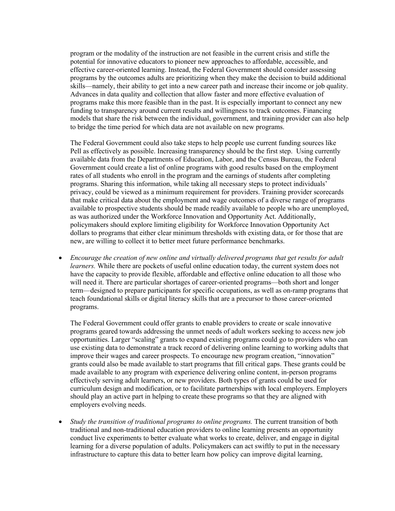program or the modality of the instruction are not feasible in the current crisis and stifle the potential for innovative educators to pioneer new approaches to affordable, accessible, and effective career-oriented learning. Instead, the Federal Government should consider assessing programs by the outcomes adults are prioritizing when they make the decision to build additional skills—namely, their ability to get into a new career path and increase their income or job quality. Advances in data quality and collection that allow faster and more effective evaluation of programs make this more feasible than in the past. It is especially important to connect any new funding to transparency around current results and willingness to track outcomes. Financing models that share the risk between the individual, government, and training provider can also help to bridge the time period for which data are not available on new programs.

The Federal Government could also take steps to help people use current funding sources like Pell as effectively as possible. Increasing transparency should be the first step. Using currently available data from the Departments of Education, Labor, and the Census Bureau, the Federal Government could create a list of online programs with good results based on the employment rates of all students who enroll in the program and the earnings of students after completing programs. Sharing this information, while taking all necessary steps to protect individuals' privacy, could be viewed as a minimum requirement for providers. Training provider scorecards that make critical data about the employment and wage outcomes of a diverse range of programs available to prospective students should be made readily available to people who are unemployed, as was authorized under the Workforce Innovation and Opportunity Act. Additionally, policymakers should explore limiting eligibility for Workforce Innovation Opportunity Act dollars to programs that either clear minimum thresholds with existing data, or for those that are new, are willing to collect it to better meet future performance benchmarks.

• Encourage the creation of new online and virtually delivered programs that get results for adult *learners.* While there are pockets of useful online education today, the current system does not have the capacity to provide flexible, affordable and effective online education to all those who will need it. There are particular shortages of career-oriented programs—both short and longer term—designed to prepare participants for specific occupations, as well as on-ramp programs that teach foundational skills or digital literacy skills that are a precursor to those career-oriented programs.

The Federal Government could offer grants to enable providers to create or scale innovative programs geared towards addressing the unmet needs of adult workers seeking to access new job opportunities. Larger "scaling" grants to expand existing programs could go to providers who can use existing data to demonstrate a track record of delivering online learning to working adults that improve their wages and career prospects. To encourage new program creation, "innovation" grants could also be made available to start programs that fill critical gaps. These grants could be made available to any program with experience delivering online content, in-person programs effectively serving adult learners, or new providers. Both types of grants could be used for curriculum design and modification, or to facilitate partnerships with local employers. Employers should play an active part in helping to create these programs so that they are aligned with employers evolving needs.

• *Study the transition of traditional programs to online programs.* The current transition of both traditional and non-traditional education providers to online learning presents an opportunity conduct live experiments to better evaluate what works to create, deliver, and engage in digital learning for a diverse population of adults. Policymakers can act swiftly to put in the necessary infrastructure to capture this data to better learn how policy can improve digital learning,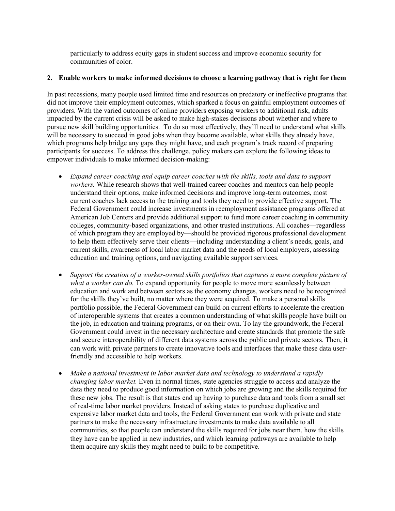particularly to address equity gaps in student success and improve economic security for communities of color.

#### **2. Enable workers to make informed decisions to choose a learning pathway that is right for them**

In past recessions, many people used limited time and resources on predatory or ineffective programs that did not improve their employment outcomes, which sparked a focus on gainful employment outcomes of providers. With the varied outcomes of online providers exposing workers to additional risk, adults impacted by the current crisis will be asked to make high-stakes decisions about whether and where to pursue new skill building opportunities. To do so most effectively, they'll need to understand what skills will be necessary to succeed in good jobs when they become available, what skills they already have, which programs help bridge any gaps they might have, and each program's track record of preparing participants for success. To address this challenge, policy makers can explore the following ideas to empower individuals to make informed decision-making:

- *Expand career coaching and equip career coaches with the skills, tools and data to support workers.* While research shows that well-trained career coaches and mentors can help people understand their options, make informed decisions and improve long-term outcomes, most current coaches lack access to the training and tools they need to provide effective support. The Federal Government could increase investments in reemployment assistance programs offered at American Job Centers and provide additional support to fund more career coaching in community colleges, community-based organizations, and other trusted institutions. All coaches—regardless of which program they are employed by—should be provided rigorous professional development to help them effectively serve their clients—including understanding a client's needs, goals, and current skills, awareness of local labor market data and the needs of local employers, assessing education and training options, and navigating available support services.
- *Support the creation of a worker-owned skills portfolios that captures a more complete picture of what a worker can do.* To expand opportunity for people to move more seamlessly between education and work and between sectors as the economy changes, workers need to be recognized for the skills they've built, no matter where they were acquired. To make a personal skills portfolio possible, the Federal Government can build on current efforts to accelerate the creation of interoperable systems that creates a common understanding of what skills people have built on the job, in education and training programs, or on their own. To lay the groundwork, the Federal Government could invest in the necessary architecture and create standards that promote the safe and secure interoperability of different data systems across the public and private sectors. Then, it can work with private partners to create innovative tools and interfaces that make these data userfriendly and accessible to help workers.
- *Make a national investment in labor market data and technology to understand a rapidly changing labor market.* Even in normal times, state agencies struggle to access and analyze the data they need to produce good information on which jobs are growing and the skills required for these new jobs. The result is that states end up having to purchase data and tools from a small set of real-time labor market providers. Instead of asking states to purchase duplicative and expensive labor market data and tools, the Federal Government can work with private and state partners to make the necessary infrastructure investments to make data available to all communities, so that people can understand the skills required for jobs near them, how the skills they have can be applied in new industries, and which learning pathways are available to help them acquire any skills they might need to build to be competitive.